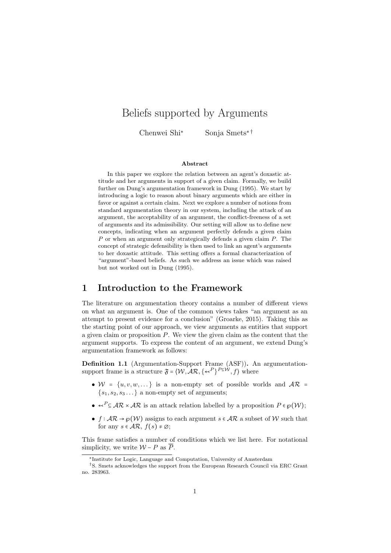# Beliefs supported by Arguments

Chenwei Shi<sup>∗</sup> Sonja Smets∗ †

#### Abstract

In this paper we explore the relation between an agent's doxastic attitude and her arguments in support of a given claim. Formally, we build further on Dung's argumentation framework in Dung (1995). We start by introducing a logic to reason about binary arguments which are either in favor or against a certain claim. Next we explore a number of notions from standard argumentation theory in our system, including the attack of an argument, the acceptability of an argument, the conflict-freeness of a set of arguments and its admissibility. Our setting will allow us to define new concepts, indicating when an argument perfectly defends a given claim P or when an argument only strategically defends a given claim P. The concept of strategic defensibility is then used to link an agent's arguments to her doxastic attitude. This setting offers a formal characterization of "argument"-based beliefs. As such we address an issue which was raised but not worked out in Dung (1995).

### 1 Introduction to the Framework

The literature on argumentation theory contains a number of different views on what an argument is. One of the common views takes "an argument as an attempt to present evidence for a conclusion" (Groarke, 2015). Taking this as the starting point of our approach, we view arguments as entities that support a given claim or proposition  $P$ . We view the given claim as the content that the argument supports. To express the content of an argument, we extend Dung's argumentation framework as follows:

Definition 1.1 (Argumentation-Support Frame (ASF)). An argumentationsupport frame is a structure  $\mathfrak{F} = \langle W, \mathcal{AR}, \{\prec^P\}^{P \subseteq W}, f \rangle$  where

- $W = \{u, v, w, ...\}$  is a non-empty set of possible worlds and  $AR =$  $\{s_1, s_2, s_3 \dots\}$  a non-empty set of arguments;
- $\leftarrow^P \subseteq AR \times AR$  is an attack relation labelled by a proposition  $P \in \mathcal{P}(\mathcal{W})$ ;
- $f : \mathcal{AR} \to \mathcal{P}(\mathcal{W})$  assigns to each argument  $s \in \mathcal{AR}$  a subset of W such that for any  $s \in \mathcal{AR}, f(s) \neq \emptyset$ ;

This frame satisfies a number of conditions which we list here. For notational simplicity, we write  $W - P$  as  $\overline{P}$ .

<sup>∗</sup> Institute for Logic, Language and Computation, University of Amsterdam

<sup>†</sup>S. Smets acknowledges the support from the European Research Council via ERC Grant no. 283963.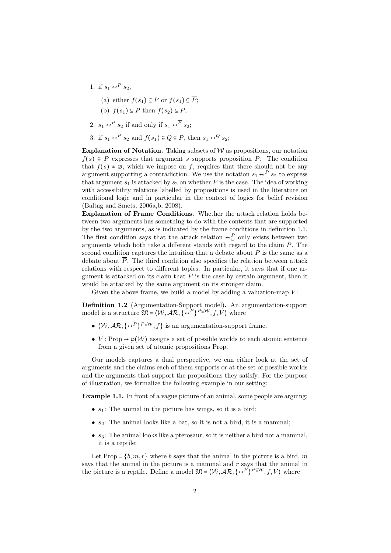- 1. if  $s_1 \nleftrightarrow^P s_2$ , (a) either  $f(s_1) \subseteq P$  or  $f(s_1) \subseteq \overline{P}$ ; (b)  $f(s_1) \subseteq P$  then  $f(s_2) \subseteq \overline{P}$ ; 2.  $s_1 \leftarrow^P s_2$  if and only if  $s_1 \leftarrow^P s_2$ ;
- 3. if  $s_1 \nleftrightarrow^P s_2$  and  $f(s_1) \subseteq Q \subseteq P$ , then  $s_1 \nleftrightarrow^Q s_2$ ;

Explanation of Notation. Taking subsets of  $W$  as propositions, our notation  $f(s) \subseteq P$  expresses that argument s supports proposition P. The condition that  $f(s) \neq \emptyset$ , which we impose on f, requires that there should not be any argument supporting a contradiction. We use the notation  $s_1 \nleftrightarrow^P s_2$  to express that argument  $s_1$  is attacked by  $s_2$  on whether P is the case. The idea of working with accessibility relations labelled by propositions is used in the literature on conditional logic and in particular in the context of logics for belief revision (Baltag and Smets, 2006a,b, 2008).

Explanation of Frame Conditions. Whether the attack relation holds between two arguments has something to do with the contents that are supported by the two arguments, as is indicated by the frame conditions in definition 1.1. The first condition says that the attack relation  $\leftarrow_w^P$  only exists between two arguments which both take a different stands with regard to the claim P. The second condition captures the intuition that a debate about  $P$  is the same as a debate about  $\overline{P}$ . The third condition also specifies the relation between attack relations with respect to different topics. In particular, it says that if one argument is attacked on its claim that  $P$  is the case by certain argument, then it would be attacked by the same argument on its stronger claim.

Given the above frame, we build a model by adding a valuation-map  $V$ :

Definition 1.2 (Argumentation-Support model). An argumentation-support model is a structure  $\mathfrak{M} = \langle W, \mathcal{AR}, \{\prec^P\}^{P \subseteq W}, f, V \rangle$  where

- $\langle W, AR, \{\prec^P\}^{P \subseteq W}, f \}$  is an argumentation-support frame.
- $V : \text{Prop} \to \varphi(\mathcal{W})$  assigns a set of possible worlds to each atomic sentence from a given set of atomic propositions Prop.

Our models captures a dual perspective, we can either look at the set of arguments and the claims each of them supports or at the set of possible worlds and the arguments that support the propositions they satisfy. For the purpose of illustration, we formalize the following example in our setting:

Example 1.1. In front of a vague picture of an animal, some people are arguing:

- $s_1$ : The animal in the picture has wings, so it is a bird;
- $s_2$ : The animal looks like a bat, so it is not a bird, it is a mammal;
- $s_3$ : The animal looks like a pterosaur, so it is neither a bird nor a mammal, it is a reptile;

Let Prop =  $\{b, m, r\}$  where b says that the animal in the picture is a bird, m says that the animal in the picture is a mammal and  $r$  says that the animal in the picture is a reptile. Define a model  $\mathfrak{M} = \langle W, \mathcal{AR}, \{\prec^P\}^{P \subseteq W}, f, V \rangle$  where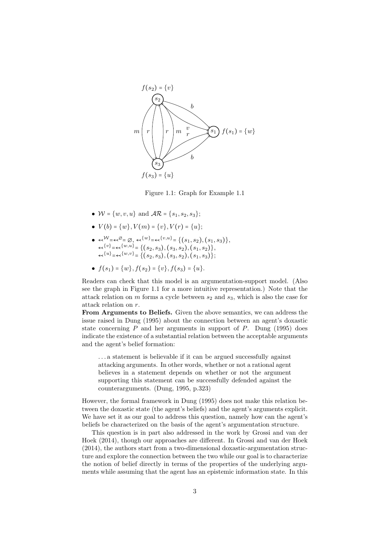

Figure 1.1: Graph for Example 1.1

- $W = \{w, v, u\}$  and  $\mathcal{AR} = \{s_1, s_2, s_3\};$
- $V(b) = \{w\}, V(m) = \{v\}, V(r) = \{u\};$
- $\bullet \begin{align*} \bullet \begin{array}{l} \leftarrow^{{\mathcal{W}}=\leftarrow^{{\mathcal{Q}}=\varnothing, \ \leftarrow^{\{w\}}=\leftarrow^{\{v,u\}}=\{(s_1,s_2),(s_1,s_3)\}, \end{array} \right. \end{align*}$  $\leftarrow^{\{v\}}=\leftarrow^{\{w,u\}}=\{(s_2,s_3),(s_3,s_2),(s_1,s_2)\},$  $\leftarrow^{\{u\}}=\leftarrow^{\{w,v\}}=\{(s_2,s_3),(s_3,s_2),(s_1,s_3)\};$
- $f(s_1) = \{w\}, f(s_2) = \{v\}, f(s_3) = \{u\}.$

Readers can check that this model is an argumentation-support model. (Also see the graph in Figure 1.1 for a more intuitive representation.) Note that the attack relation on  $m$  forms a cycle between  $s_2$  and  $s_3$ , which is also the case for attack relation on r.

From Arguments to Beliefs. Given the above semantics, we can address the issue raised in Dung (1995) about the connection between an agent's doxastic state concerning  $P$  and her arguments in support of  $P$ . Dung (1995) does indicate the existence of a substantial relation between the acceptable arguments and the agent's belief formation:

. . . a statement is believable if it can be argued successfully against attacking arguments. In other words, whether or not a rational agent believes in a statement depends on whether or not the argument supporting this statement can be successfully defended against the counterarguments. (Dung, 1995, p.323)

However, the formal framework in Dung (1995) does not make this relation between the doxastic state (the agent's beliefs) and the agent's arguments explicit. We have set it as our goal to address this question, namely how can the agent's beliefs be characterized on the basis of the agent's argumentation structure.

This question is in part also addressed in the work by Grossi and van der Hoek (2014), though our approaches are different. In Grossi and van der Hoek (2014), the authors start from a two-dimensional doxastic-argumentation structure and explore the connection between the two while our goal is to characterize the notion of belief directly in terms of the properties of the underlying arguments while assuming that the agent has an epistemic information state. In this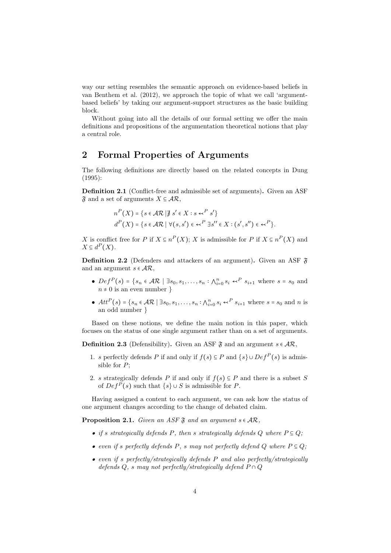way our setting resembles the semantic approach on evidence-based beliefs in van Benthem et al. (2012), we approach the topic of what we call 'argumentbased beliefs' by taking our argument-support structures as the basic building block.

Without going into all the details of our formal setting we offer the main definitions and propositions of the argumentation theoretical notions that play a central role.

# 2 Formal Properties of Arguments

The following definitions are directly based on the related concepts in Dung (1995):

Definition 2.1 (Conflict-free and admissible set of arguments). Given an ASF  $\mathfrak{F}$  and a set of arguments  $X \subseteq \mathcal{AR}$ ,

$$
n^{P}(X) = \{ s \in \mathcal{AR} \mid \nexists s' \in X : s \leftarrow^{P} s' \}
$$
  
\n
$$
d^{P}(X) = \{ s \in \mathcal{AR} \mid \forall (s, s') \in \leftarrow^{P} \exists s'' \in X : (s', s'') \in \leftarrow^{P} \}.
$$

X is conflict free for P if  $X \subseteq n^P(X)$ ; X is admissible for P if  $X \subseteq n^P(X)$  and  $X \subseteq d^P(X)$ .

**Definition 2.2** (Defenders and attackers of an argument). Given an ASF  $\tilde{\mathfrak{F}}$ and an argument  $s \in \mathcal{AR}$ ,

- $Def^{P}(s) = \{s_n \in \mathcal{AR} \mid \exists s_0, s_1, \ldots, s_n : \bigwedge_{i=0}^{n} s_i \prec^{P} s_{i+1} \text{ where } s = s_0 \text{ and } s_i \in \mathcal{AR} \mid \exists s_0, s_1, \ldots, s_n : \bigwedge_{i=0}^{n} s_i \prec^{P} s_{i+1} \text{ where } s = s_0 \text{ and } s_i \in \mathcal{AR} \mid \exists s_0, s_1, \ldots, s_n : \bigwedge_{i=0}^{n} s_i \prec^{P} s_{i+1} \text{ where } s = s_0 \text{ and } s_i$  $n \neq 0$  is an even number  $\}$
- $Att^P(s) = \{s_n \in \mathcal{AR} \mid \exists s_0, s_1, \dots, s_n : \bigwedge_{i=0}^n s_i \leftarrow^P s_{i+1} \text{ where } s = s_0 \text{ and } n \text{ is } \}$ an odd number }

Based on these notions, we define the main notion in this paper, which focuses on the status of one single argument rather than on a set of arguments.

**Definition 2.3** (Defensibility). Given an ASF  $\mathfrak{F}$  and an argument  $s \in \mathcal{AR}$ ,

- 1. s perfectly defends P if and only if  $f(s) \subseteq P$  and  $\{s\} \cup Def^P(s)$  is admissible for P;
- 2. s strategically defends P if and only if  $f(s) \subseteq P$  and there is a subset S of  $Def^P(s)$  such that  $\{s\} \cup S$  is admissible for P.

Having assigned a content to each argument, we can ask how the status of one argument changes according to the change of debated claim.

**Proposition 2.1.** Given an ASF  $\mathfrak{F}$  and an argument  $s \in \mathcal{AR}$ ,

- if s strategically defends P, then s strategically defends Q where  $P \subseteq Q$ ;
- even if s perfectly defends P, s may not perfectly defend Q where  $P \subseteq Q$ ;
- even if s perfectly/strategically defends P and also perfectly/strategically defends Q, s may not perfectly/strategically defend  $P \cap Q$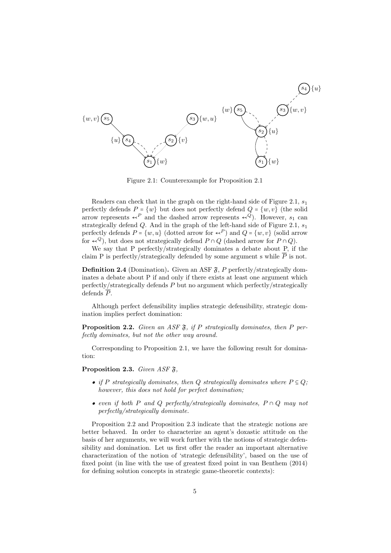

Figure 2.1: Counterexample for Proposition 2.1

Readers can check that in the graph on the right-hand side of Figure 2.1,  $s_1$ perfectly defends  $P = \{w\}$  but does not perfectly defend  $Q = \{w, v\}$  (the solid arrow represents  $\leftarrow^P$  and the dashed arrow represents  $\leftarrow^Q$ ). However,  $s_1$  can strategically defend  $Q$ . And in the graph of the left-hand side of Figure 2.1,  $s_1$ perfectly defends  $P = \{w, u\}$  (dotted arrow for  $\leftarrow^P$ ) and  $Q = \{w, v\}$  (solid arrow for  $\leftarrow^{Q}$ , but does not strategically defend  $P \cap Q$  (dashed arrow for  $P \cap Q$ ).

We say that P perfectly/strategically dominates a debate about P, if the claim P is perfectly/strategically defended by some argument s while  $\overline{P}$  is not.

**Definition 2.4** (Domination). Given an ASF  $\mathfrak{F}$ , P perfectly/strategically dominates a debate about P if and only if there exists at least one argument which perfectly/strategically defends P but no argument which perfectly/strategically defends  $\overline{P}$ .

Although perfect defensibility implies strategic defensibility, strategic domination implies perfect domination:

**Proposition 2.2.** Given an ASF  $\mathfrak{F}$ , if P strategically dominates, then P perfectly dominates, but not the other way around.

Corresponding to Proposition 2.1, we have the following result for domination:

**Proposition 2.3.** Given ASF  $\mathfrak{F}$ ,

- if P strategically dominates, then Q strategically dominates where  $P \subseteq Q$ ; however, this does not hold for perfect domination;
- even if both P and Q perfectly/strategically dominates,  $P \cap Q$  may not perfectly/strategically dominate.

Proposition 2.2 and Proposition 2.3 indicate that the strategic notions are better behaved. In order to characterize an agent's doxastic attitude on the basis of her arguments, we will work further with the notions of strategic defensibility and domination. Let us first offer the reader an important alternative characterization of the notion of 'strategic defensibility', based on the use of fixed point (in line with the use of greatest fixed point in van Benthem (2014) for defining solution concepts in strategic game-theoretic contexts):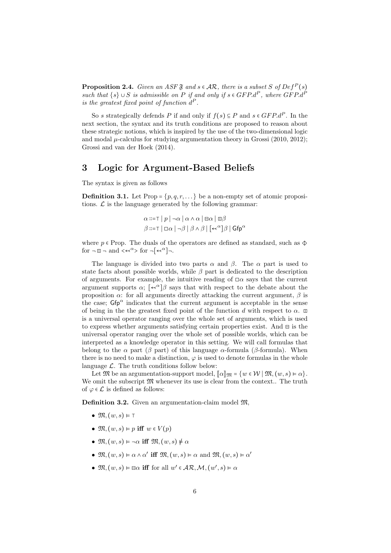**Proposition 2.4.** Given an ASF  $\mathfrak{F}$  and  $s \in \mathcal{AR}$ , there is a subset S of  $Def^P(s)$ such that  $\{s\} \cup S$  is admissible on P if and only if  $s \in GFP.d^P$ , where  $GFP.d^P$ is the greatest fixed point of function  $d^P$ .

So s strategically defends P if and only if  $f(s) \subseteq P$  and  $s \in GFP.d^P$ . In the next section, the syntax and its truth conditions are proposed to reason about these strategic notions, which is inspired by the use of the two-dimensional logic and modal  $\mu$ -calculus for studying argumentation theory in Grossi (2010, 2012); Grossi and van der Hoek (2014).

#### 3 Logic for Argument-Based Beliefs

The syntax is given as follows

**Definition 3.1.** Let Prop =  $\{p,q,r,\ldots\}$  be a non-empty set of atomic propositions.  $\mathcal L$  is the language generated by the following grammar:

$$
\alpha ::= \top | p | \neg \alpha | \alpha \wedge \alpha | \boxminus \alpha | \varpi \beta
$$
  

$$
\beta ::= \top | \Box \alpha | \neg \beta | \beta \wedge \beta | [\prec^{\alpha}] \beta | \mathsf{Gfp}^{\alpha}
$$

where  $p \in \text{Prop}$ . The duals of the operators are defined as standard, such as  $\Phi$ for ¬ q ¬ and <↢α> for ¬[↢α]¬.

The language is divided into two parts  $\alpha$  and  $\beta$ . The  $\alpha$  part is used to state facts about possible worlds, while  $\beta$  part is dedicated to the description of arguments. For example, the intuitive reading of  $\square \alpha$  says that the current argument supports  $\alpha$ ;  $\left[ \left. \left( \alpha \right) \right]$  as that with respect to the debate about the proposition  $\alpha$ : for all arguments directly attacking the current argument,  $\beta$  is the case;  $Gfp^{\alpha}$  indicates that the current argument is acceptable in the sense of being in the the greatest fixed point of the function d with respect to  $\alpha$ .  $\Box$ is a universal operator ranging over the whole set of arguments, which is used to express whether arguments satisfying certain properties exist. And ⊟ is the universal operator ranging over the whole set of possible worlds, which can be interpreted as a knowledge operator in this setting. We will call formulas that belong to the  $\alpha$  part ( $\beta$  part) of this language  $\alpha$ -formula ( $\beta$ -formula). When there is no need to make a distinction,  $\varphi$  is used to denote formulas in the whole language  $\mathcal{L}$ . The truth conditions follow below:

Let  $\mathfrak{M}$  be an argumentation-support model,  $\llbracket \alpha \rrbracket_{\mathfrak{M}} = \{w \in \mathcal{W} \mid \mathfrak{M}, (w, s) \models \alpha\}.$ We omit the subscript  $\mathfrak{M}$  whenever its use is clear from the context.. The truth of  $\varphi \in \mathcal{L}$  is defined as follows:

Definition 3.2. Given an argumentation-claim model M,

- $\mathfrak{M}, (w, s) \vDash \top$
- $\mathfrak{M}, (w, s) \vDash p$  iff  $w \in V(p)$
- $\mathfrak{M}, (w, s) \models \neg \alpha$  iff  $\mathfrak{M}, (w, s) \not\models \alpha$
- $\mathfrak{M}, (w, s) \models \alpha \land \alpha'$  iff  $\mathfrak{M}, (w, s) \models \alpha$  and  $\mathfrak{M}, (w, s) \models \alpha'$
- $\mathfrak{M}, (w, s) \vDash \boxminus \alpha$  iff for all  $w' \in \mathcal{AR}, \mathcal{M}, (w', s) \vDash \alpha$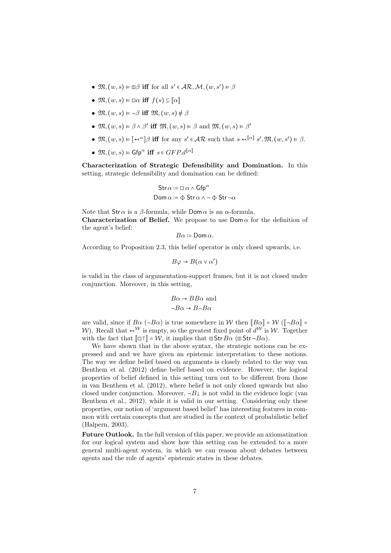- $\mathfrak{M}, (w, s) \models \Box \beta$  iff for all  $s' \in \mathcal{AR}, \mathcal{M}, (w, s') \models \beta$
- $\mathfrak{M}, (w, s) \models \Box \alpha$  iff  $f(s) \subseteq \llbracket \alpha \rrbracket$
- $\mathfrak{M}, (w, s) \models \neg \beta$  iff  $\mathfrak{M}, (w, s) \not\models \beta$
- $\mathfrak{M}, (w, s) \models \beta \land \beta'$  iff  $\mathfrak{M}, (w, s) \models \beta$  and  $\mathfrak{M}, (w, s) \models \beta'$
- $\mathfrak{M}, (w, s) \models [\prec^{\alpha}]\beta$  iff for any  $s' \in \mathcal{AR}$  such that  $s \prec^{\llbracket \alpha \rrbracket} s', \mathfrak{M}, (w, s') \models \beta$ .
- $\mathfrak{M}, (w, s) \vDash \mathsf{Gfp}^{\alpha}$  iff  $s \in GFP.d^{\llbracket \alpha \rrbracket}$

Characterization of Strategic Defensibility and Domination. In this setting, strategic defensibility and domination can be defined:

$$
\begin{aligned} \mathsf{Str}\, \alpha &\coloneqq \Box\, \alpha \wedge \mathsf{Gfp}^\alpha \\ \mathsf{Dom}\, \alpha &\coloneqq \Phi\, \mathsf{Str}\, \alpha \wedge \neg\, \Phi\, \mathsf{Str}\, \neg \alpha \end{aligned}
$$

Note that  $\text{Str } \alpha$  is a  $\beta$ -formula, while  $\text{Dom } \alpha$  is an  $\alpha$ -formula. **Characterization of Belief.** We propose to use  $Dom \alpha$  for the definition of the agent's belief:

 $B\alpha$  := Dom  $\alpha$ .

According to Proposition 2.3, this belief operator is only closed upwards, i.e.

$$
B\varphi \to B(\alpha \vee \alpha')
$$

is valid in the class of argumentation-support frames, but it is not closed under conjunction. Moreover, in this setting,

$$
B\alpha \to BB\alpha \text{ and}
$$
  

$$
\neg B\alpha \to B\neg B\alpha
$$

are valid, since if  $B\alpha$  ( $-B\alpha$ ) is true somewhere in W then  $||B\alpha|| = W$  ( $||-B\alpha|| =$ W). Recall that  $\leftarrow^{\mathcal{W}}$  is empty, so the greatest fixed point of  $d^{\mathcal{W}}$  is W. Together with the fact that  $\llbracket \Box \top \rrbracket = \mathcal{W}$ , it implies that  $\Box$  Str  $B\alpha$  ( $\Box$  Str  $\neg B\alpha$ ).

We have shown that in the above syntax, the strategic notions can be expressed and and we have given an epistemic interpretation to these notions. The way we define belief based on arguments is closely related to the way van Benthem et al. (2012) define belief based on evidence. However, the logical properties of belief defined in this setting turn out to be different from those in van Benthem et al. (2012), where belief is not only closed upwards but also closed under conjunction. Moreover,  $\neg B \perp$  is not valid in the evidence logic (van Benthem et al., 2012), while it is valid in our setting. Considering only these properties, our notion of 'argument based belief' has interesting features in common with certain concepts that are studied in the context of probabilistic belief (Halpern, 2003).

Future Outlook. In the full version of this paper, we provide an axiomatization for our logical system and show how this setting can be extended to a more general multi-agent system, in which we can reason about debates between agents and the role of agents' epistemic states in these debates.